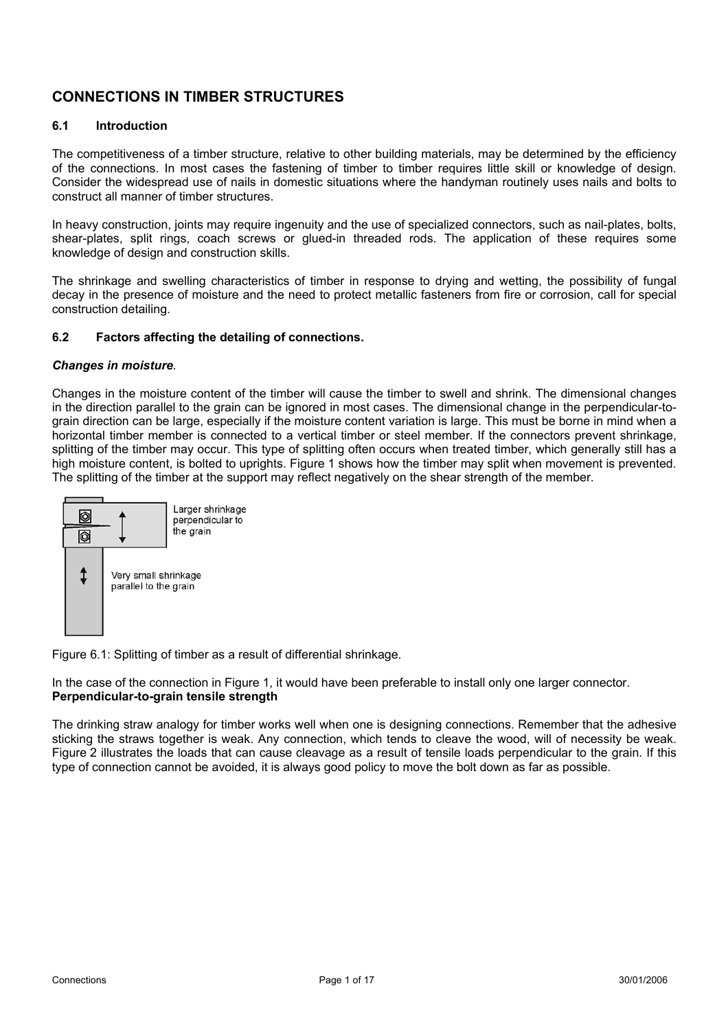# **CONNECTIONS IN TIMBER STRUCTURES**

### **6.1 Introduction**

The competitiveness of a timber structure, relative to other building materials, may be determined by the efficiency of the connections. In most cases the fastening of timber to timber requires little skill or knowledge of design. Consider the widespread use of nails in domestic situations where the handyman routinely uses nails and bolts to construct all manner of timber structures.

In heavy construction, joints may require ingenuity and the use of specialized connectors, such as nail-plates, bolts, shear-plates, split rings, coach screws or glued-in threaded rods. The application of these requires some knowledge of design and construction skills.

The shrinkage and swelling characteristics of timber in response to drying and wetting, the possibility of fungal decay in the presence of moisture and the need to protect metallic fasteners from fire or corrosion, call for special construction detailing.

### **6.2 Factors affecting the detailing of connections.**

#### *Changes in moisture.*

Changes in the moisture content of the timber will cause the timber to swell and shrink. The dimensional changes in the direction parallel to the grain can be ignored in most cases. The dimensional change in the perpendicular-tograin direction can be large, especially if the moisture content variation is large. This must be borne in mind when a horizontal timber member is connected to a vertical timber or steel member. If the connectors prevent shrinkage, splitting of the timber may occur. This type of splitting often occurs when treated timber, which generally still has a high moisture content, is bolted to uprights. Figure 1 shows how the timber may split when movement is prevented. The splitting of the timber at the support may reflect negatively on the shear strength of the member.



Figure 6.1: Splitting of timber as a result of differential shrinkage.

In the case of the connection in Figure 1, it would have been preferable to install only one larger connector. **Perpendicular-to-grain tensile strength** 

The drinking straw analogy for timber works well when one is designing connections. Remember that the adhesive sticking the straws together is weak. Any connection, which tends to cleave the wood, will of necessity be weak. Figure 2 illustrates the loads that can cause cleavage as a result of tensile loads perpendicular to the grain. If this type of connection cannot be avoided, it is always good policy to move the bolt down as far as possible.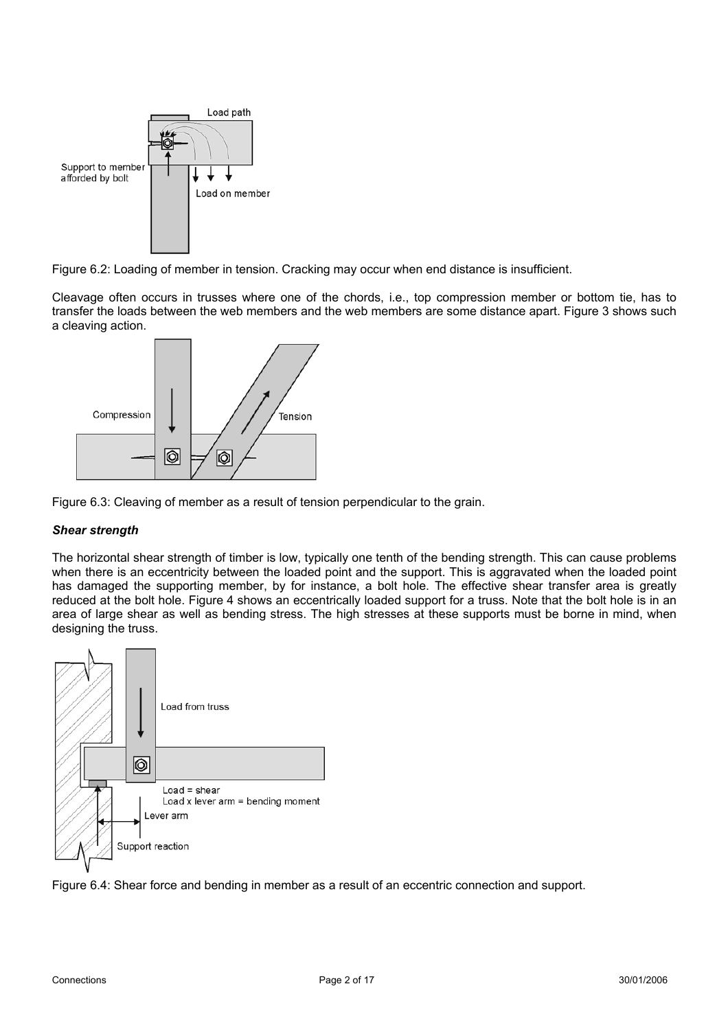

Figure 6.2: Loading of member in tension. Cracking may occur when end distance is insufficient.

Cleavage often occurs in trusses where one of the chords, i.e., top compression member or bottom tie, has to transfer the loads between the web members and the web members are some distance apart. Figure 3 shows such a cleaving action.



Figure 6.3: Cleaving of member as a result of tension perpendicular to the grain.

# *Shear strength*

The horizontal shear strength of timber is low, typically one tenth of the bending strength. This can cause problems when there is an eccentricity between the loaded point and the support. This is aggravated when the loaded point has damaged the supporting member, by for instance, a bolt hole. The effective shear transfer area is greatly reduced at the bolt hole. Figure 4 shows an eccentrically loaded support for a truss. Note that the bolt hole is in an area of large shear as well as bending stress. The high stresses at these supports must be borne in mind, when designing the truss.



Figure 6.4: Shear force and bending in member as a result of an eccentric connection and support.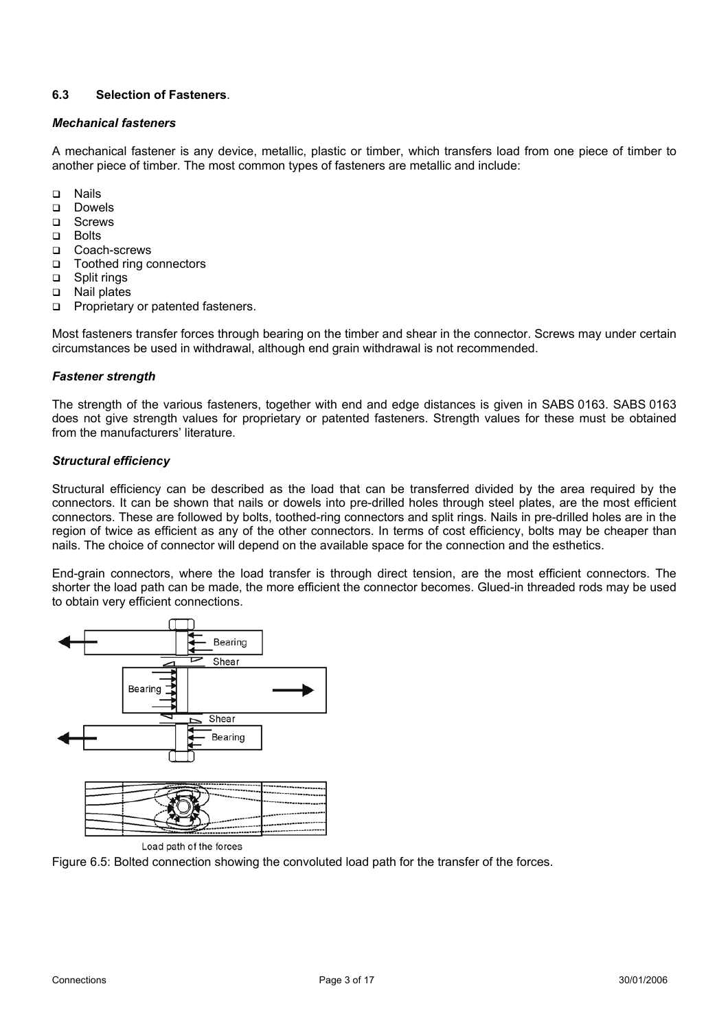# **6.3 Selection of Fasteners**.

#### *Mechanical fasteners*

A mechanical fastener is any device, metallic, plastic or timber, which transfers load from one piece of timber to another piece of timber. The most common types of fasteners are metallic and include:

- Nails
- Dowels
- **D** Screws
- a Bolts
- □ Coach-screws
- Toothed ring connectors
- □ Split rings
- □ Nail plates
- **Proprietary or patented fasteners.**

Most fasteners transfer forces through bearing on the timber and shear in the connector. Screws may under certain circumstances be used in withdrawal, although end grain withdrawal is not recommended.

### *Fastener strength*

The strength of the various fasteners, together with end and edge distances is given in SABS 0163. SABS 0163 does not give strength values for proprietary or patented fasteners. Strength values for these must be obtained from the manufacturers' literature.

### *Structural efficiency*

Structural efficiency can be described as the load that can be transferred divided by the area required by the connectors. It can be shown that nails or dowels into pre-drilled holes through steel plates, are the most efficient connectors. These are followed by bolts, toothed-ring connectors and split rings. Nails in pre-drilled holes are in the region of twice as efficient as any of the other connectors. In terms of cost efficiency, bolts may be cheaper than nails. The choice of connector will depend on the available space for the connection and the esthetics.

End-grain connectors, where the load transfer is through direct tension, are the most efficient connectors. The shorter the load path can be made, the more efficient the connector becomes. Glued-in threaded rods may be used to obtain very efficient connections.



Figure 6.5: Bolted connection showing the convoluted load path for the transfer of the forces.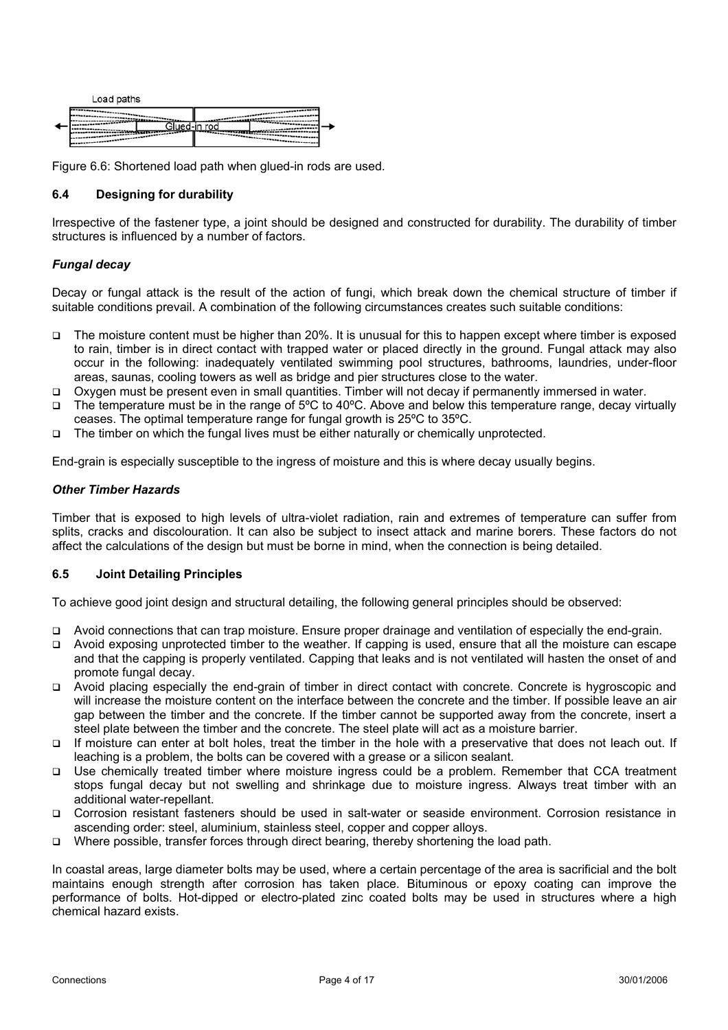

Figure 6.6: Shortened load path when glued-in rods are used.

## **6.4 Designing for durability**

Irrespective of the fastener type, a joint should be designed and constructed for durability. The durability of timber structures is influenced by a number of factors.

### *Fungal decay*

Decay or fungal attack is the result of the action of fungi, which break down the chemical structure of timber if suitable conditions prevail. A combination of the following circumstances creates such suitable conditions:

- The moisture content must be higher than 20%. It is unusual for this to happen except where timber is exposed to rain, timber is in direct contact with trapped water or placed directly in the ground. Fungal attack may also occur in the following: inadequately ventilated swimming pool structures, bathrooms, laundries, under-floor areas, saunas, cooling towers as well as bridge and pier structures close to the water.
- Oxygen must be present even in small quantities. Timber will not decay if permanently immersed in water.
- The temperature must be in the range of 5ºC to 40ºC. Above and below this temperature range, decay virtually ceases. The optimal temperature range for fungal growth is 25ºC to 35ºC.
- $\Box$  The timber on which the fungal lives must be either naturally or chemically unprotected.

End-grain is especially susceptible to the ingress of moisture and this is where decay usually begins.

#### *Other Timber Hazards*

Timber that is exposed to high levels of ultra-violet radiation, rain and extremes of temperature can suffer from splits, cracks and discolouration. It can also be subject to insect attack and marine borers. These factors do not affect the calculations of the design but must be borne in mind, when the connection is being detailed.

#### **6.5 Joint Detailing Principles**

To achieve good joint design and structural detailing, the following general principles should be observed:

- Avoid connections that can trap moisture. Ensure proper drainage and ventilation of especially the end-grain.
- Avoid exposing unprotected timber to the weather. If capping is used, ensure that all the moisture can escape and that the capping is properly ventilated. Capping that leaks and is not ventilated will hasten the onset of and promote fungal decay.
- Avoid placing especially the end-grain of timber in direct contact with concrete. Concrete is hygroscopic and will increase the moisture content on the interface between the concrete and the timber. If possible leave an air gap between the timber and the concrete. If the timber cannot be supported away from the concrete, insert a steel plate between the timber and the concrete. The steel plate will act as a moisture barrier.
- If moisture can enter at bolt holes, treat the timber in the hole with a preservative that does not leach out. If leaching is a problem, the bolts can be covered with a grease or a silicon sealant.
- Use chemically treated timber where moisture ingress could be a problem. Remember that CCA treatment stops fungal decay but not swelling and shrinkage due to moisture ingress. Always treat timber with an additional water-repellant.
- Corrosion resistant fasteners should be used in salt-water or seaside environment. Corrosion resistance in ascending order: steel, aluminium, stainless steel, copper and copper alloys.
- Where possible, transfer forces through direct bearing, thereby shortening the load path.

In coastal areas, large diameter bolts may be used, where a certain percentage of the area is sacrificial and the bolt maintains enough strength after corrosion has taken place. Bituminous or epoxy coating can improve the performance of bolts. Hot-dipped or electro-plated zinc coated bolts may be used in structures where a high chemical hazard exists.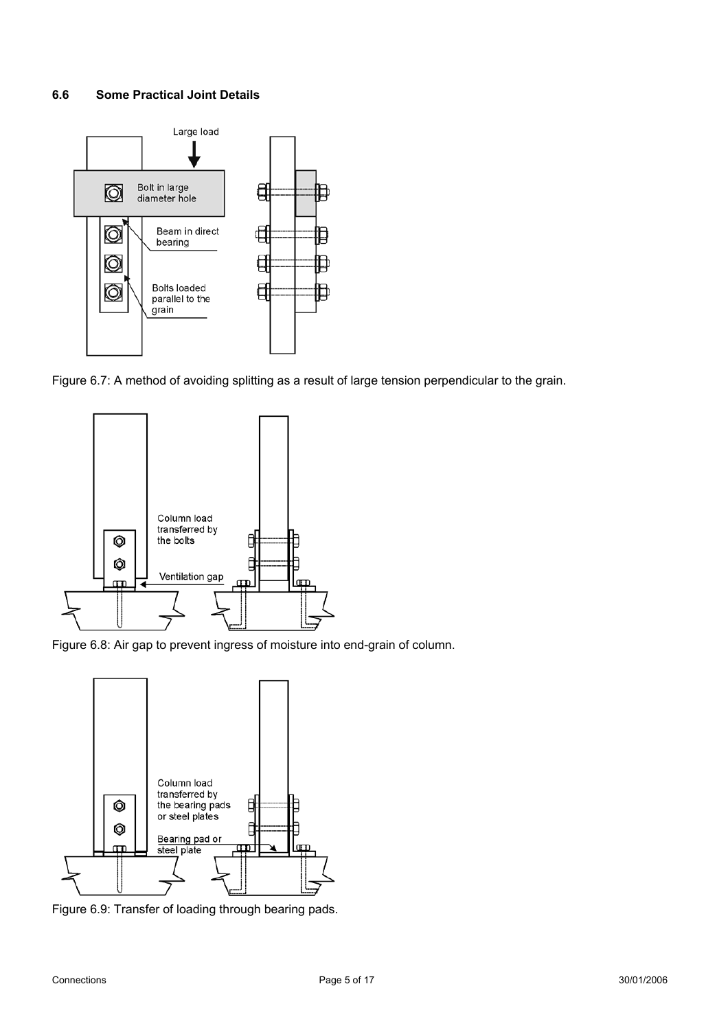### **6.6 Some Practical Joint Details**



Figure 6.7: A method of avoiding splitting as a result of large tension perpendicular to the grain.



Figure 6.8: Air gap to prevent ingress of moisture into end-grain of column.



Figure 6.9: Transfer of loading through bearing pads.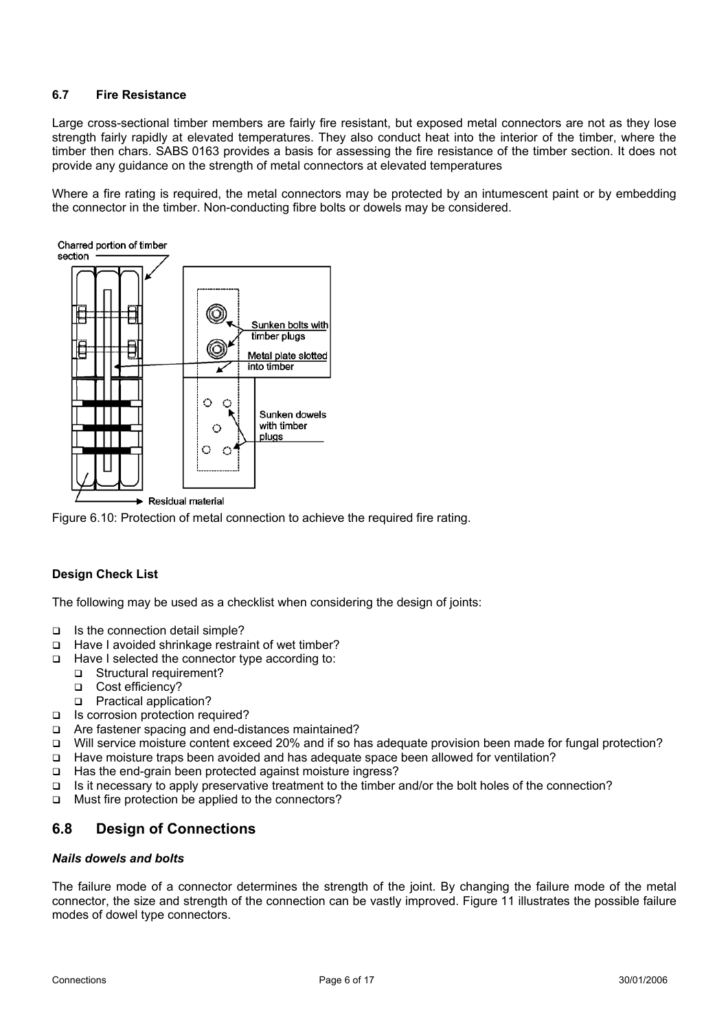# **6.7 Fire Resistance**

Large cross-sectional timber members are fairly fire resistant, but exposed metal connectors are not as they lose strength fairly rapidly at elevated temperatures. They also conduct heat into the interior of the timber, where the timber then chars. SABS 0163 provides a basis for assessing the fire resistance of the timber section. It does not provide any guidance on the strength of metal connectors at elevated temperatures

Where a fire rating is required, the metal connectors may be protected by an intumescent paint or by embedding the connector in the timber. Non-conducting fibre bolts or dowels may be considered.



Figure 6.10: Protection of metal connection to achieve the required fire rating.

#### **Design Check List**

The following may be used as a checklist when considering the design of joints:

- $\Box$  Is the connection detail simple?
- □ Have I avoided shrinkage restraint of wet timber?
- $\Box$  Have I selected the connector type according to:
	- □ Structural requirement?
	- Cost efficiency?
	- □ Practical application?
- □ Is corrosion protection required?
- □ Are fastener spacing and end-distances maintained?
- Will service moisture content exceed 20% and if so has adequate provision been made for fungal protection?
- Have moisture traps been avoided and has adequate space been allowed for ventilation?
- □ Has the end-grain been protected against moisture ingress?
- Is it necessary to apply preservative treatment to the timber and/or the bolt holes of the connection?
- □ Must fire protection be applied to the connectors?

# **6.8 Design of Connections**

#### *Nails dowels and bolts*

The failure mode of a connector determines the strength of the joint. By changing the failure mode of the metal connector, the size and strength of the connection can be vastly improved. Figure 11 illustrates the possible failure modes of dowel type connectors.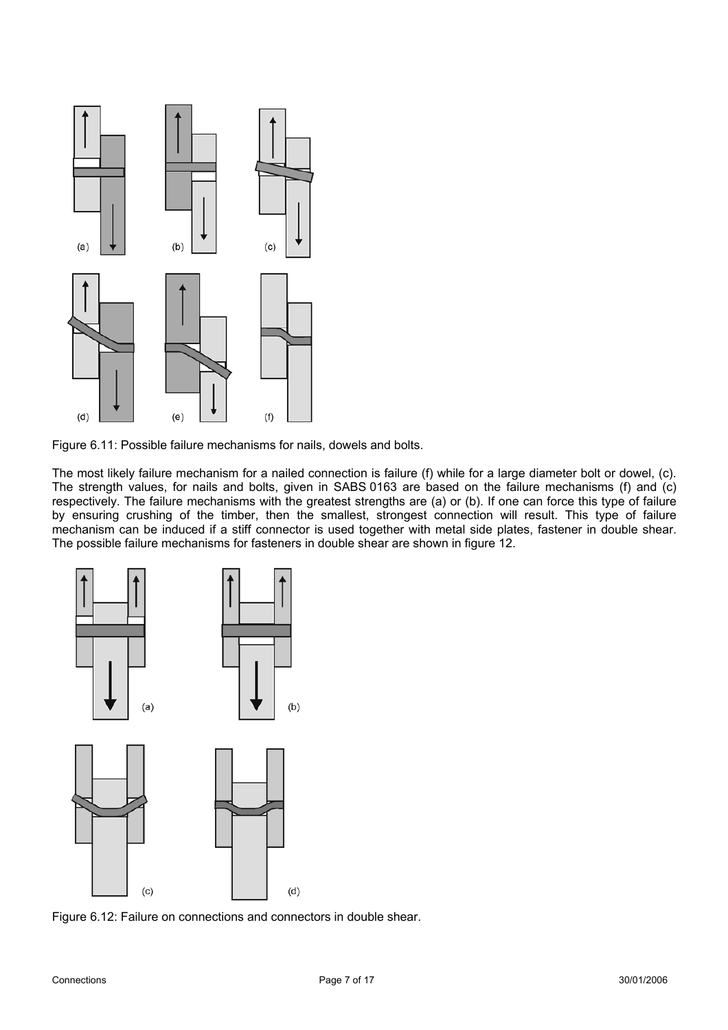



The most likely failure mechanism for a nailed connection is failure (f) while for a large diameter bolt or dowel, (c). The strength values, for nails and bolts, given in SABS 0163 are based on the failure mechanisms (f) and (c) respectively. The failure mechanisms with the greatest strengths are (a) or (b). If one can force this type of failure by ensuring crushing of the timber, then the smallest, strongest connection will result. This type of failure mechanism can be induced if a stiff connector is used together with metal side plates, fastener in double shear. The possible failure mechanisms for fasteners in double shear are shown in figure 12.



Figure 6.12: Failure on connections and connectors in double shear.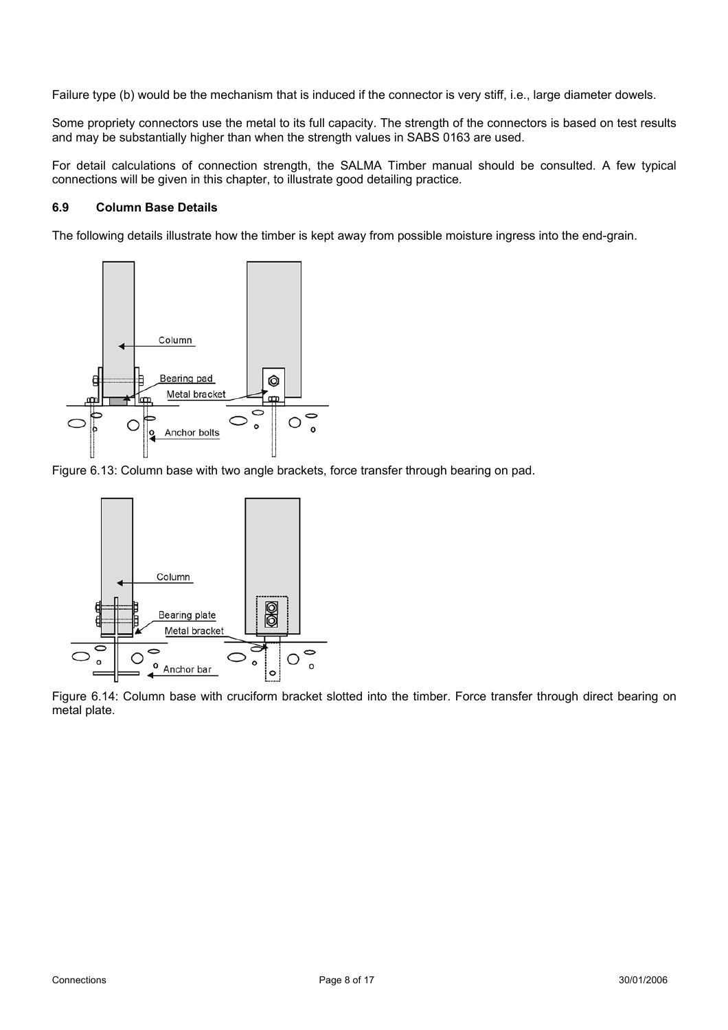Failure type (b) would be the mechanism that is induced if the connector is very stiff, i.e., large diameter dowels.

Some propriety connectors use the metal to its full capacity. The strength of the connectors is based on test results and may be substantially higher than when the strength values in SABS 0163 are used.

For detail calculations of connection strength, the SALMA Timber manual should be consulted. A few typical connections will be given in this chapter, to illustrate good detailing practice.

# **6.9 Column Base Details**

The following details illustrate how the timber is kept away from possible moisture ingress into the end-grain.



Figure 6.13: Column base with two angle brackets, force transfer through bearing on pad.



Figure 6.14: Column base with cruciform bracket slotted into the timber. Force transfer through direct bearing on metal plate.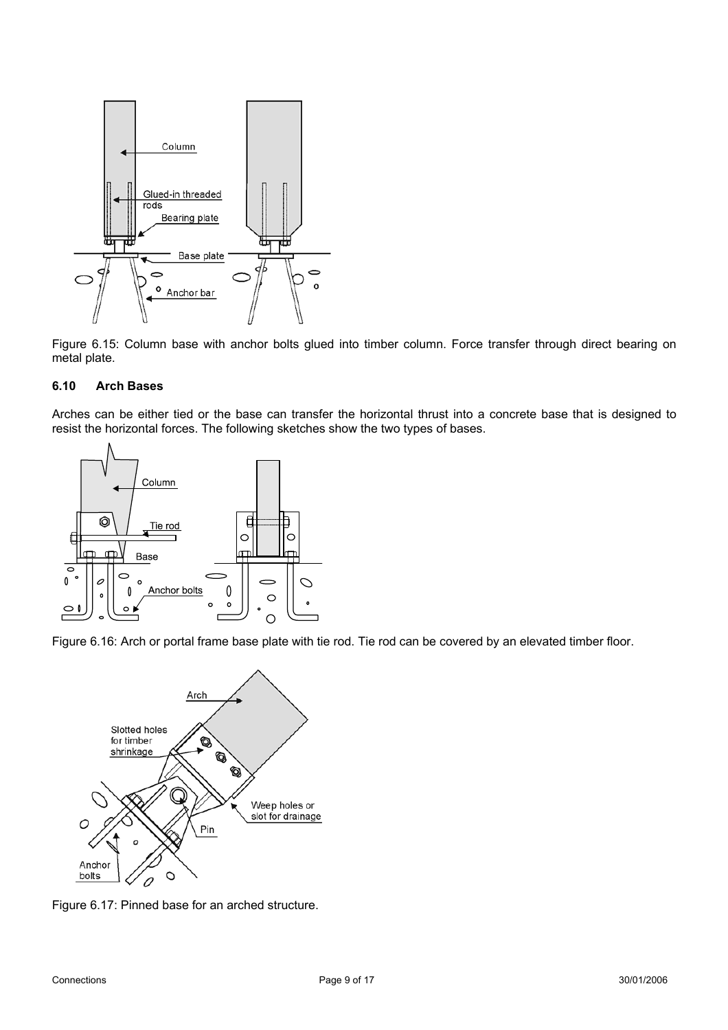

 Figure 6.15: Column base with anchor bolts glued into timber column. Force transfer through direct bearing on metal plate.

#### **6.10 Arch Bases**

Arches can be either tied or the base can transfer the horizontal thrust into a concrete base that is designed to resist the horizontal forces. The following sketches show the two types of bases.



Figure 6.16: Arch or portal frame base plate with tie rod. Tie rod can be covered by an elevated timber floor.



Figure 6.17: Pinned base for an arched structure.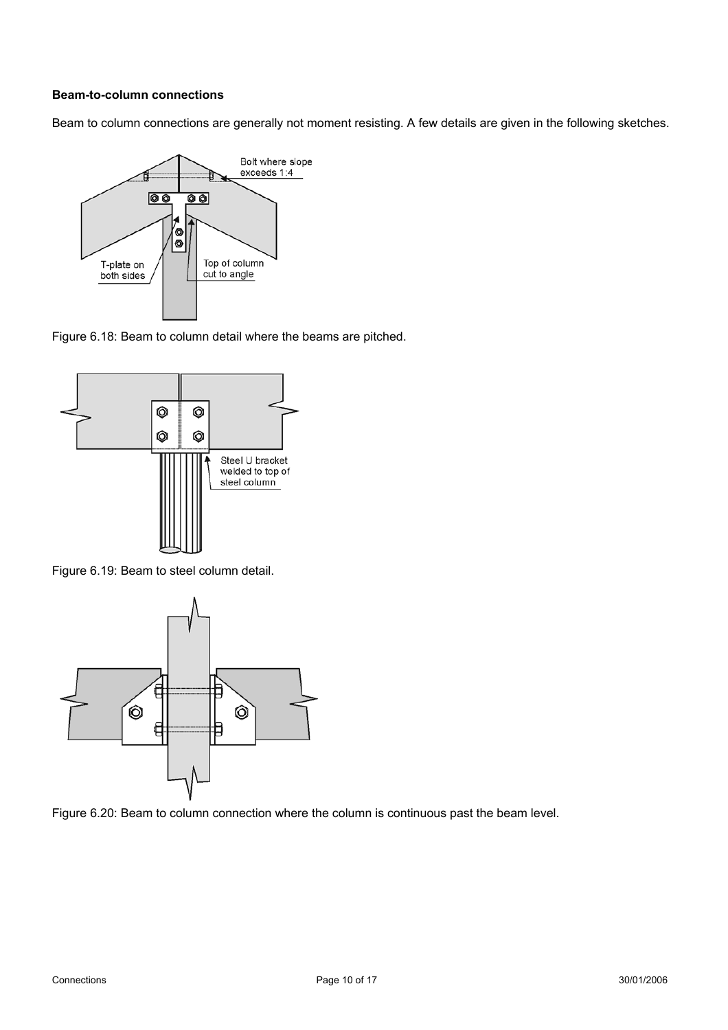# **Beam-to-column connections**

Beam to column connections are generally not moment resisting. A few details are given in the following sketches.



Figure 6.18: Beam to column detail where the beams are pitched.



Figure 6.19: Beam to steel column detail.



Figure 6.20: Beam to column connection where the column is continuous past the beam level.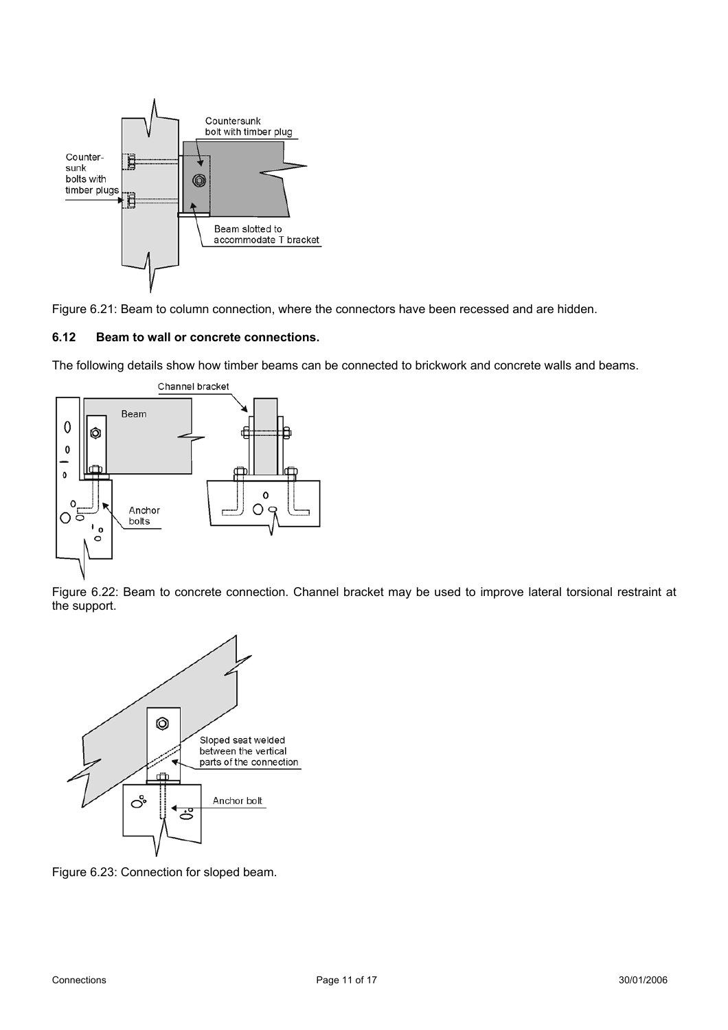

Figure 6.21: Beam to column connection, where the connectors have been recessed and are hidden.

### **6.12 Beam to wall or concrete connections.**

The following details show how timber beams can be connected to brickwork and concrete walls and beams.



Figure 6.22: Beam to concrete connection. Channel bracket may be used to improve lateral torsional restraint at the support.



Figure 6.23: Connection for sloped beam.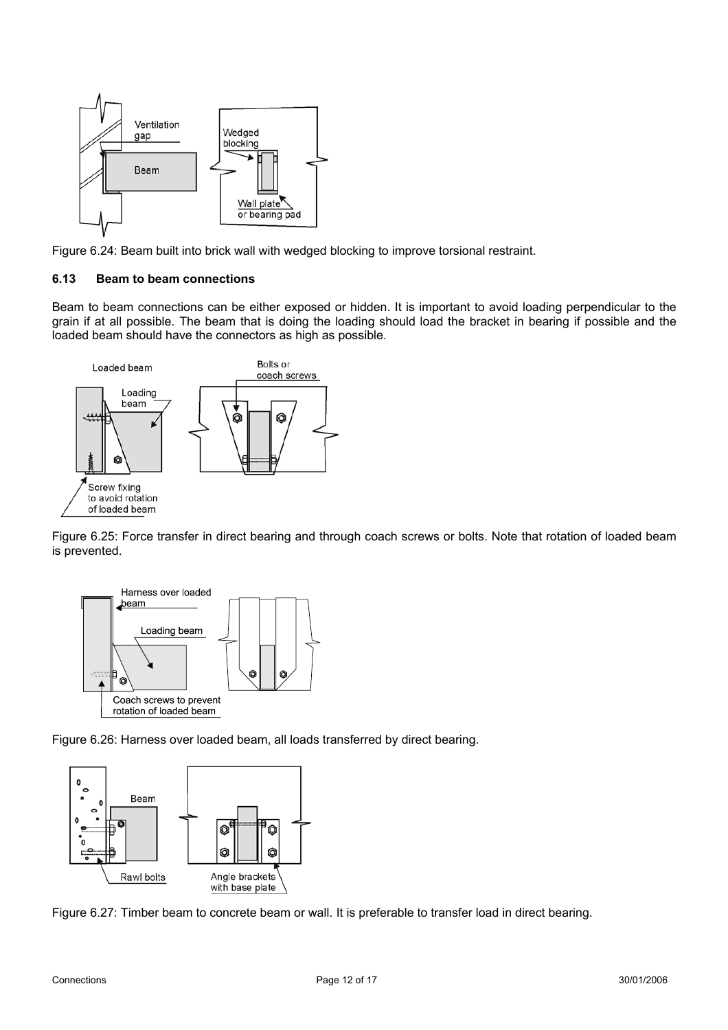

Figure 6.24: Beam built into brick wall with wedged blocking to improve torsional restraint.

### **6.13 Beam to beam connections**

Beam to beam connections can be either exposed or hidden. It is important to avoid loading perpendicular to the grain if at all possible. The beam that is doing the loading should load the bracket in bearing if possible and the loaded beam should have the connectors as high as possible.



Figure 6.25: Force transfer in direct bearing and through coach screws or bolts. Note that rotation of loaded beam is prevented.



Figure 6.26: Harness over loaded beam, all loads transferred by direct bearing.



Figure 6.27: Timber beam to concrete beam or wall. It is preferable to transfer load in direct bearing.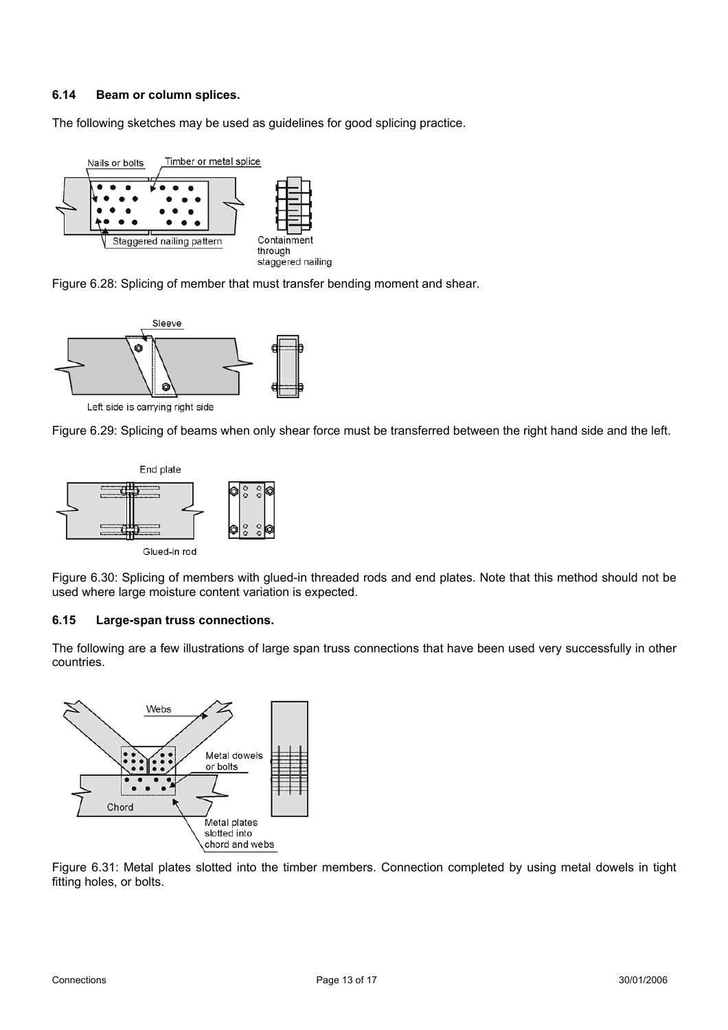# **6.14 Beam or column splices.**

The following sketches may be used as guidelines for good splicing practice.







Figure 6.29: Splicing of beams when only shear force must be transferred between the right hand side and the left.



Figure 6.30: Splicing of members with glued-in threaded rods and end plates. Note that this method should not be used where large moisture content variation is expected.

#### **6.15 Large-span truss connections.**

The following are a few illustrations of large span truss connections that have been used very successfully in other countries.



Figure 6.31: Metal plates slotted into the timber members. Connection completed by using metal dowels in tight fitting holes, or bolts.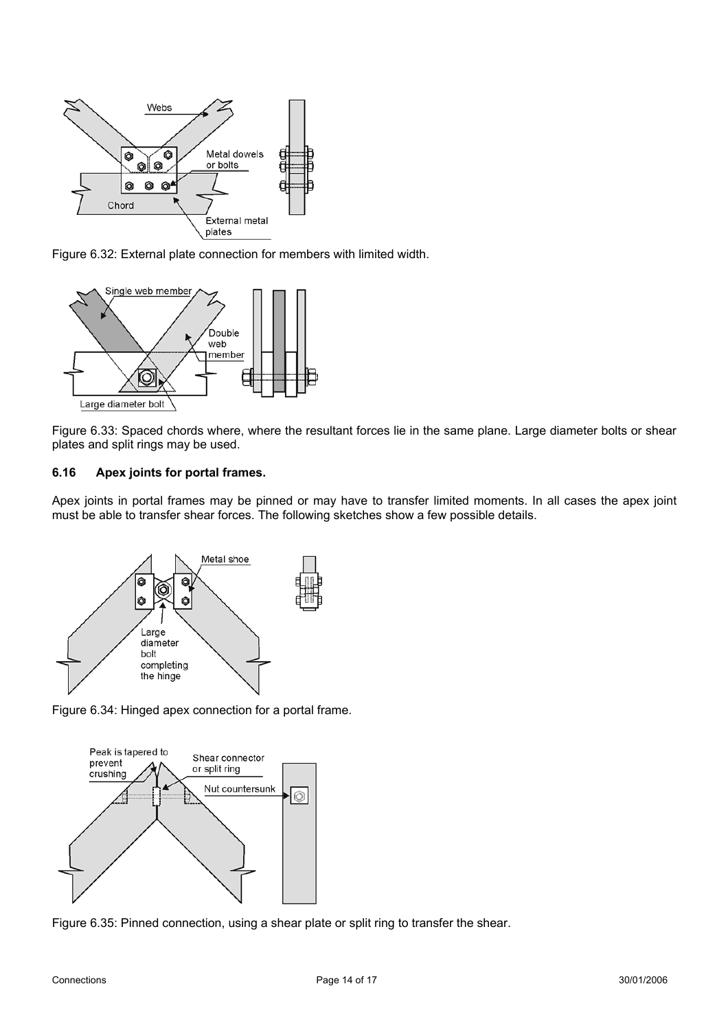

Figure 6.32: External plate connection for members with limited width.



Figure 6.33: Spaced chords where, where the resultant forces lie in the same plane. Large diameter bolts or shear plates and split rings may be used.

# **6.16 Apex joints for portal frames.**

Apex joints in portal frames may be pinned or may have to transfer limited moments. In all cases the apex joint must be able to transfer shear forces. The following sketches show a few possible details.







Figure 6.35: Pinned connection, using a shear plate or split ring to transfer the shear.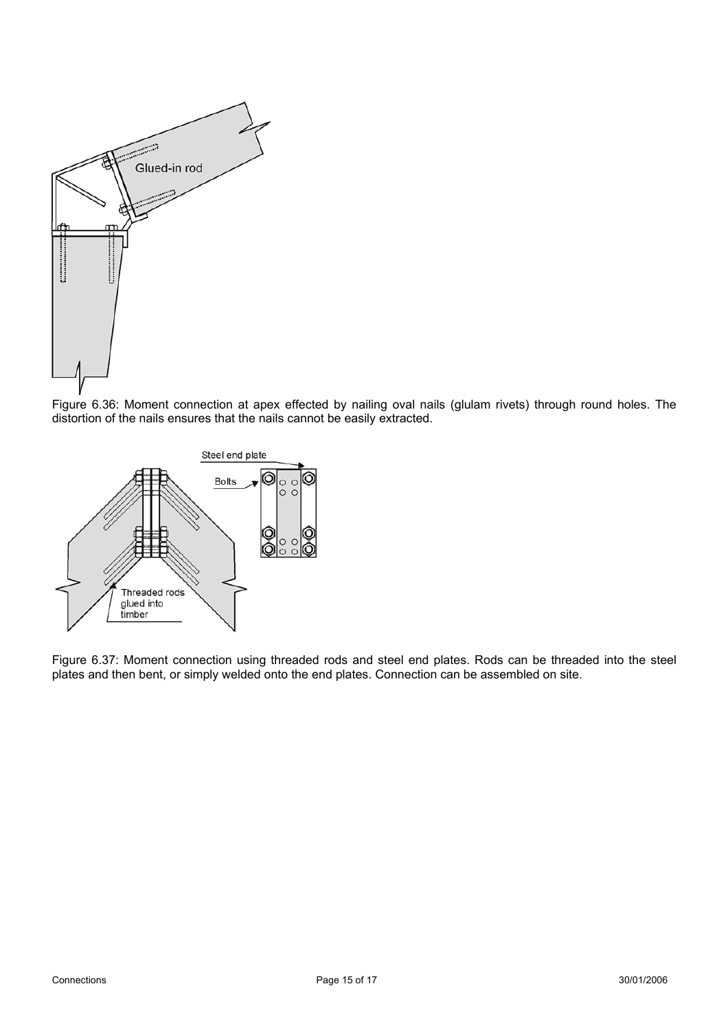

Figure 6.36: Moment connection at apex effected by nailing oval nails (glulam rivets) through round holes. The distortion of the nails ensures that the nails cannot be easily extracted.



Figure 6.37: Moment connection using threaded rods and steel end plates. Rods can be threaded into the steel plates and then bent, or simply welded onto the end plates. Connection can be assembled on site.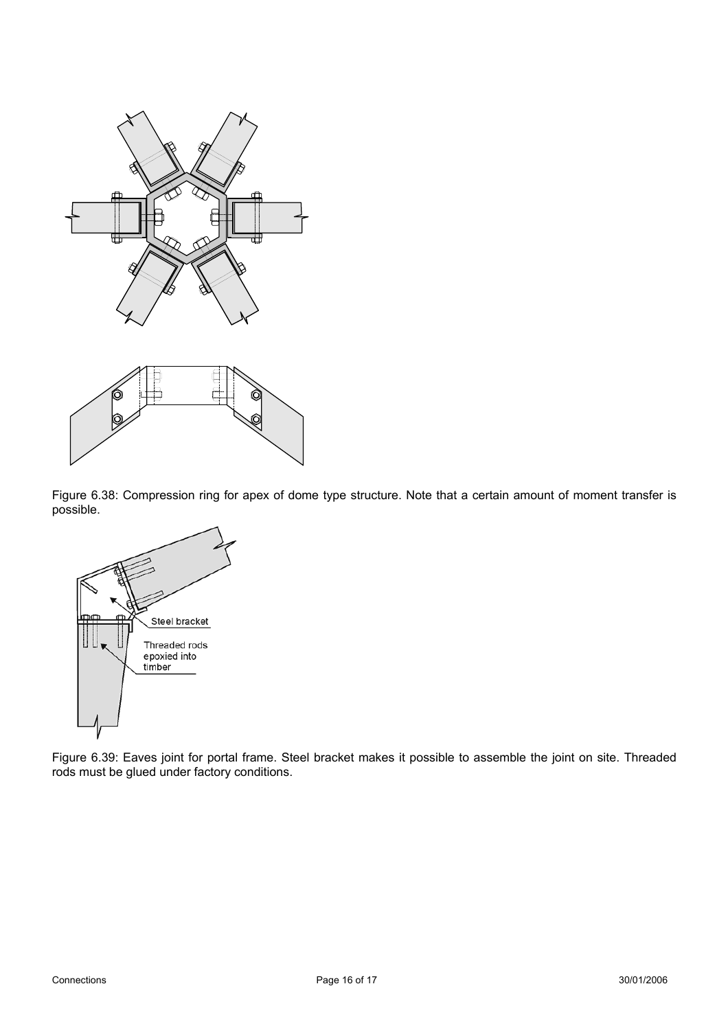



Figure 6.38: Compression ring for apex of dome type structure. Note that a certain amount of moment transfer is possible.



Figure 6.39: Eaves joint for portal frame. Steel bracket makes it possible to assemble the joint on site. Threaded rods must be glued under factory conditions.